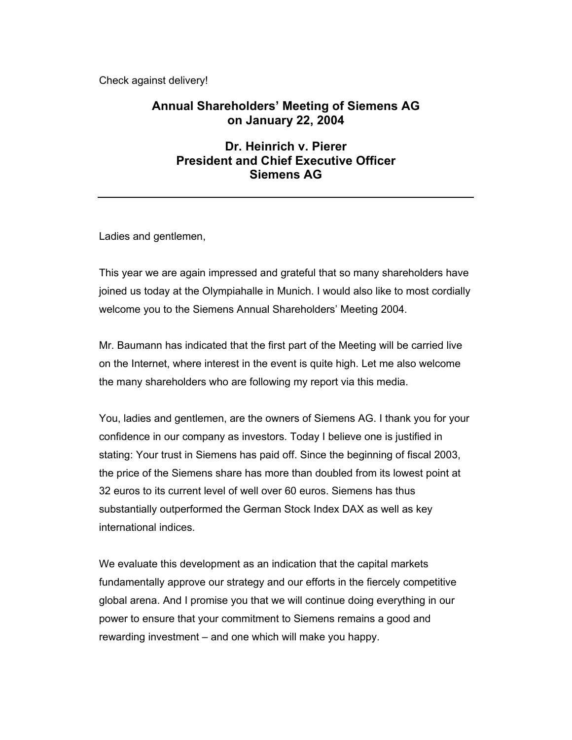Check against delivery!

# **Annual Shareholders' Meeting of Siemens AG on January 22, 2004**

## **Dr. Heinrich v. Pierer President and Chief Executive Officer Siemens AG**

Ladies and gentlemen,

This year we are again impressed and grateful that so many shareholders have joined us today at the Olympiahalle in Munich. I would also like to most cordially welcome you to the Siemens Annual Shareholders' Meeting 2004.

Mr. Baumann has indicated that the first part of the Meeting will be carried live on the Internet, where interest in the event is quite high. Let me also welcome the many shareholders who are following my report via this media.

You, ladies and gentlemen, are the owners of Siemens AG. I thank you for your confidence in our company as investors. Today I believe one is justified in stating: Your trust in Siemens has paid off. Since the beginning of fiscal 2003, the price of the Siemens share has more than doubled from its lowest point at 32 euros to its current level of well over 60 euros. Siemens has thus substantially outperformed the German Stock Index DAX as well as key international indices.

We evaluate this development as an indication that the capital markets fundamentally approve our strategy and our efforts in the fiercely competitive global arena. And I promise you that we will continue doing everything in our power to ensure that your commitment to Siemens remains a good and rewarding investment – and one which will make you happy.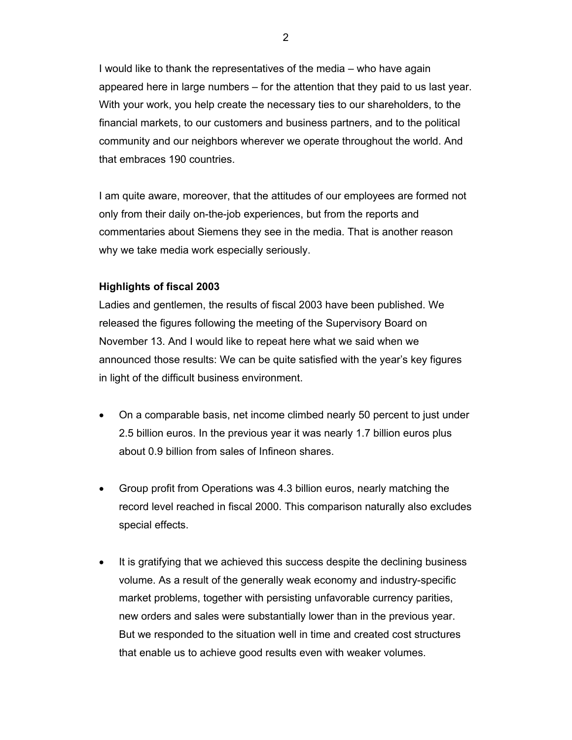I would like to thank the representatives of the media – who have again appeared here in large numbers – for the attention that they paid to us last year. With your work, you help create the necessary ties to our shareholders, to the financial markets, to our customers and business partners, and to the political community and our neighbors wherever we operate throughout the world. And that embraces 190 countries.

I am quite aware, moreover, that the attitudes of our employees are formed not only from their daily on-the-job experiences, but from the reports and commentaries about Siemens they see in the media. That is another reason why we take media work especially seriously.

## **Highlights of fiscal 2003**

Ladies and gentlemen, the results of fiscal 2003 have been published. We released the figures following the meeting of the Supervisory Board on November 13. And I would like to repeat here what we said when we announced those results: We can be quite satisfied with the year's key figures in light of the difficult business environment.

- On a comparable basis, net income climbed nearly 50 percent to just under 2.5 billion euros. In the previous year it was nearly 1.7 billion euros plus about 0.9 billion from sales of Infineon shares.
- Group profit from Operations was 4.3 billion euros, nearly matching the record level reached in fiscal 2000. This comparison naturally also excludes special effects.
- It is gratifying that we achieved this success despite the declining business volume. As a result of the generally weak economy and industry-specific market problems, together with persisting unfavorable currency parities, new orders and sales were substantially lower than in the previous year. But we responded to the situation well in time and created cost structures that enable us to achieve good results even with weaker volumes.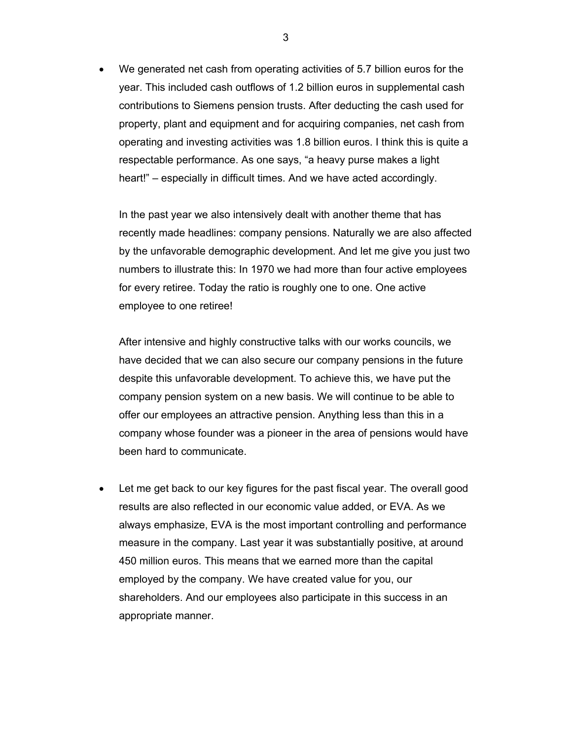We generated net cash from operating activities of 5.7 billion euros for the year. This included cash outflows of 1.2 billion euros in supplemental cash contributions to Siemens pension trusts. After deducting the cash used for property, plant and equipment and for acquiring companies, net cash from operating and investing activities was 1.8 billion euros. I think this is quite a respectable performance. As one says, "a heavy purse makes a light heart!" – especially in difficult times. And we have acted accordingly.

In the past year we also intensively dealt with another theme that has recently made headlines: company pensions. Naturally we are also affected by the unfavorable demographic development. And let me give you just two numbers to illustrate this: In 1970 we had more than four active employees for every retiree. Today the ratio is roughly one to one. One active employee to one retiree!

After intensive and highly constructive talks with our works councils, we have decided that we can also secure our company pensions in the future despite this unfavorable development. To achieve this, we have put the company pension system on a new basis. We will continue to be able to offer our employees an attractive pension. Anything less than this in a company whose founder was a pioneer in the area of pensions would have been hard to communicate.

• Let me get back to our key figures for the past fiscal year. The overall good results are also reflected in our economic value added, or EVA. As we always emphasize, EVA is the most important controlling and performance measure in the company. Last year it was substantially positive, at around 450 million euros. This means that we earned more than the capital employed by the company. We have created value for you, our shareholders. And our employees also participate in this success in an appropriate manner.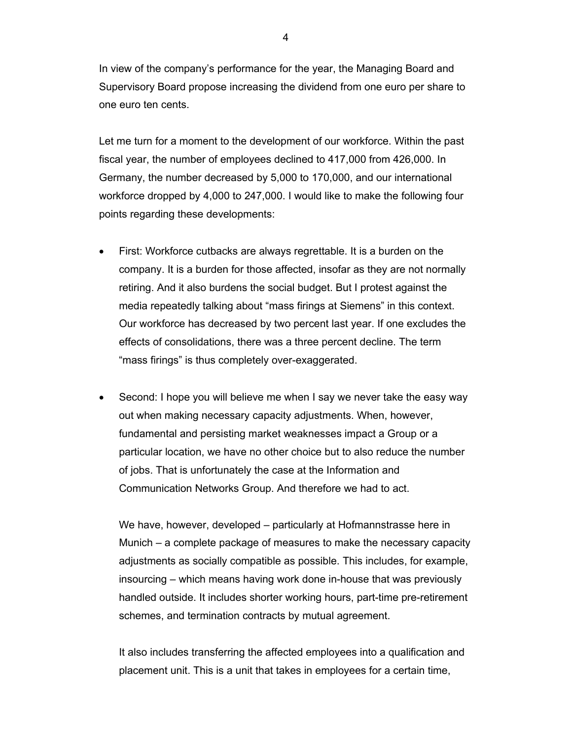In view of the company's performance for the year, the Managing Board and Supervisory Board propose increasing the dividend from one euro per share to one euro ten cents.

Let me turn for a moment to the development of our workforce. Within the past fiscal year, the number of employees declined to 417,000 from 426,000. In Germany, the number decreased by 5,000 to 170,000, and our international workforce dropped by 4,000 to 247,000. I would like to make the following four points regarding these developments:

- First: Workforce cutbacks are always regrettable. It is a burden on the company. It is a burden for those affected, insofar as they are not normally retiring. And it also burdens the social budget. But I protest against the media repeatedly talking about "mass firings at Siemens" in this context. Our workforce has decreased by two percent last year. If one excludes the effects of consolidations, there was a three percent decline. The term "mass firings" is thus completely over-exaggerated.
- Second: I hope you will believe me when I say we never take the easy way out when making necessary capacity adjustments. When, however, fundamental and persisting market weaknesses impact a Group or a particular location, we have no other choice but to also reduce the number of jobs. That is unfortunately the case at the Information and Communication Networks Group. And therefore we had to act.

We have, however, developed – particularly at Hofmannstrasse here in Munich – a complete package of measures to make the necessary capacity adjustments as socially compatible as possible. This includes, for example, insourcing – which means having work done in-house that was previously handled outside. It includes shorter working hours, part-time pre-retirement schemes, and termination contracts by mutual agreement.

It also includes transferring the affected employees into a qualification and placement unit. This is a unit that takes in employees for a certain time,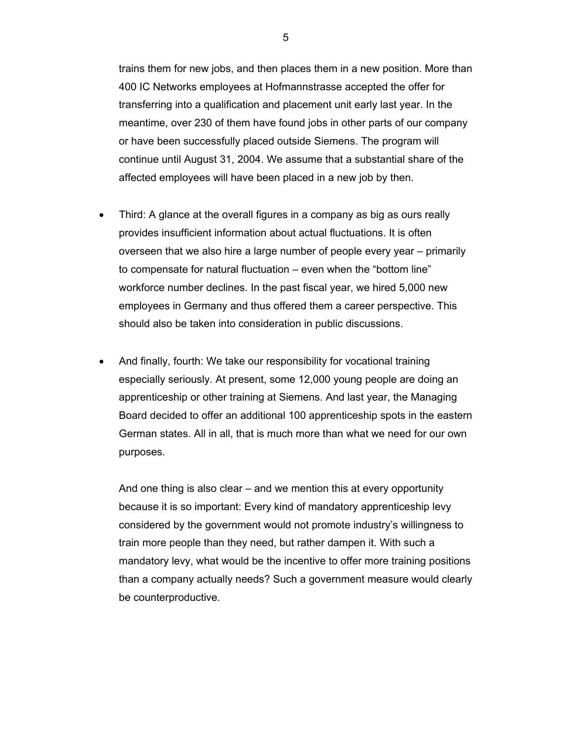trains them for new jobs, and then places them in a new position. More than 400 IC Networks employees at Hofmannstrasse accepted the offer for transferring into a qualification and placement unit early last year. In the meantime, over 230 of them have found jobs in other parts of our company or have been successfully placed outside Siemens. The program will continue until August 31, 2004. We assume that a substantial share of the affected employees will have been placed in a new job by then.

- Third: A glance at the overall figures in a company as big as ours really provides insufficient information about actual fluctuations. It is often overseen that we also hire a large number of people every year – primarily to compensate for natural fluctuation – even when the "bottom line" workforce number declines. In the past fiscal year, we hired 5,000 new employees in Germany and thus offered them a career perspective. This should also be taken into consideration in public discussions.
- And finally, fourth: We take our responsibility for vocational training especially seriously. At present, some 12,000 young people are doing an apprenticeship or other training at Siemens. And last year, the Managing Board decided to offer an additional 100 apprenticeship spots in the eastern German states. All in all, that is much more than what we need for our own purposes.

And one thing is also clear – and we mention this at every opportunity because it is so important: Every kind of mandatory apprenticeship levy considered by the government would not promote industry's willingness to train more people than they need, but rather dampen it. With such a mandatory levy, what would be the incentive to offer more training positions than a company actually needs? Such a government measure would clearly be counterproductive.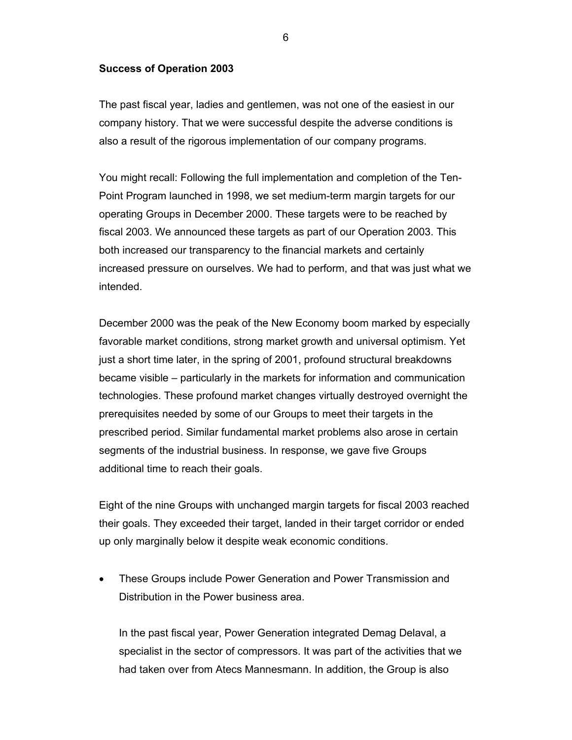### **Success of Operation 2003**

The past fiscal year, ladies and gentlemen, was not one of the easiest in our company history. That we were successful despite the adverse conditions is also a result of the rigorous implementation of our company programs.

You might recall: Following the full implementation and completion of the Ten-Point Program launched in 1998, we set medium-term margin targets for our operating Groups in December 2000. These targets were to be reached by fiscal 2003. We announced these targets as part of our Operation 2003. This both increased our transparency to the financial markets and certainly increased pressure on ourselves. We had to perform, and that was just what we intended.

December 2000 was the peak of the New Economy boom marked by especially favorable market conditions, strong market growth and universal optimism. Yet just a short time later, in the spring of 2001, profound structural breakdowns became visible – particularly in the markets for information and communication technologies. These profound market changes virtually destroyed overnight the prerequisites needed by some of our Groups to meet their targets in the prescribed period. Similar fundamental market problems also arose in certain segments of the industrial business. In response, we gave five Groups additional time to reach their goals.

Eight of the nine Groups with unchanged margin targets for fiscal 2003 reached their goals. They exceeded their target, landed in their target corridor or ended up only marginally below it despite weak economic conditions.

• These Groups include Power Generation and Power Transmission and Distribution in the Power business area.

In the past fiscal year, Power Generation integrated Demag Delaval, a specialist in the sector of compressors. It was part of the activities that we had taken over from Atecs Mannesmann. In addition, the Group is also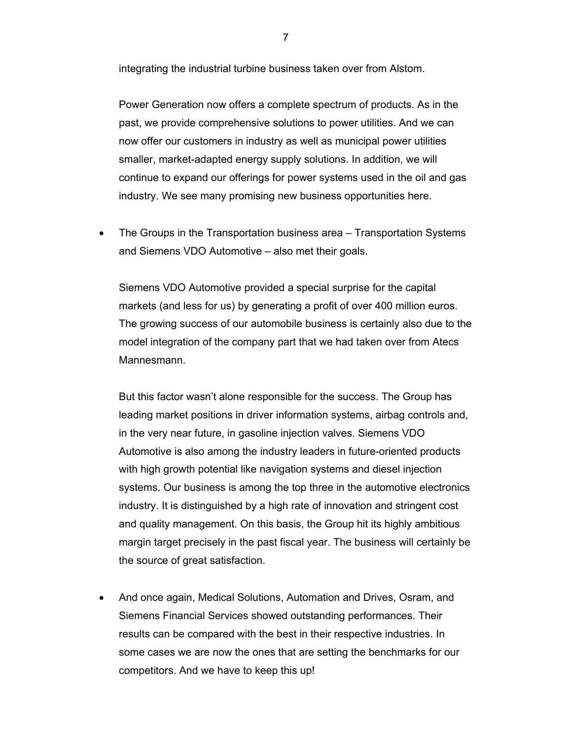integrating the industrial turbine business taken over from Alstom.

Power Generation now offers a complete spectrum of products. As in the past, we provide comprehensive solutions to power utilities. And we can now offer our customers in industry as well as municipal power utilities smaller, market-adapted energy supply solutions. In addition, we will continue to expand our offerings for power systems used in the oil and gas industry. We see many promising new business opportunities here.

• The Groups in the Transportation business area – Transportation Systems and Siemens VDO Automotive – also met their goals.

Siemens VDO Automotive provided a special surprise for the capital markets (and less for us) by generating a profit of over 400 million euros. The growing success of our automobile business is certainly also due to the model integration of the company part that we had taken over from Atecs Mannesmann.

But this factor wasn't alone responsible for the success. The Group has leading market positions in driver information systems, airbag controls and, in the very near future, in gasoline injection valves. Siemens VDO Automotive is also among the industry leaders in future-oriented products with high growth potential like navigation systems and diesel injection systems. Our business is among the top three in the automotive electronics industry. It is distinguished by a high rate of innovation and stringent cost and quality management. On this basis, the Group hit its highly ambitious margin target precisely in the past fiscal year. The business will certainly be the source of great satisfaction.

• And once again, Medical Solutions, Automation and Drives, Osram, and Siemens Financial Services showed outstanding performances. Their results can be compared with the best in their respective industries. In some cases we are now the ones that are setting the benchmarks for our competitors. And we have to keep this up!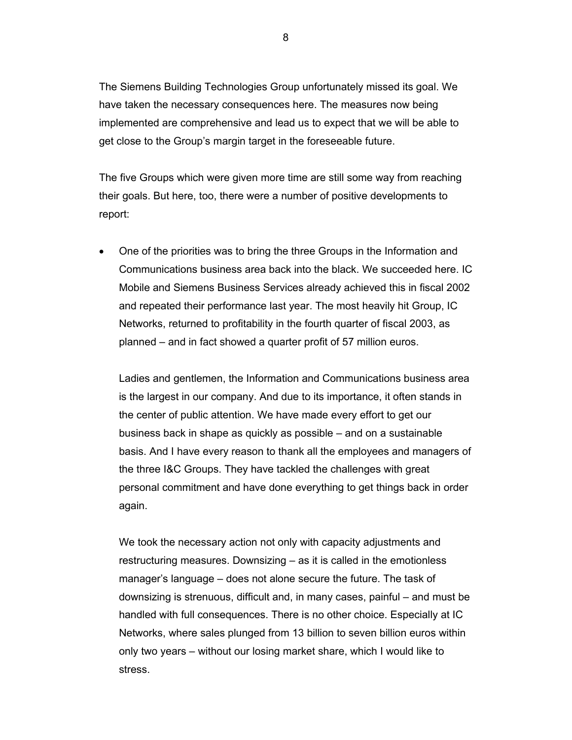The Siemens Building Technologies Group unfortunately missed its goal. We have taken the necessary consequences here. The measures now being implemented are comprehensive and lead us to expect that we will be able to get close to the Group's margin target in the foreseeable future.

The five Groups which were given more time are still some way from reaching their goals. But here, too, there were a number of positive developments to report:

• One of the priorities was to bring the three Groups in the Information and Communications business area back into the black. We succeeded here. IC Mobile and Siemens Business Services already achieved this in fiscal 2002 and repeated their performance last year. The most heavily hit Group, IC Networks, returned to profitability in the fourth quarter of fiscal 2003, as planned – and in fact showed a quarter profit of 57 million euros.

Ladies and gentlemen, the Information and Communications business area is the largest in our company. And due to its importance, it often stands in the center of public attention. We have made every effort to get our business back in shape as quickly as possible – and on a sustainable basis. And I have every reason to thank all the employees and managers of the three I&C Groups. They have tackled the challenges with great personal commitment and have done everything to get things back in order again.

We took the necessary action not only with capacity adjustments and restructuring measures. Downsizing – as it is called in the emotionless manager's language – does not alone secure the future. The task of downsizing is strenuous, difficult and, in many cases, painful – and must be handled with full consequences. There is no other choice. Especially at IC Networks, where sales plunged from 13 billion to seven billion euros within only two years – without our losing market share, which I would like to stress.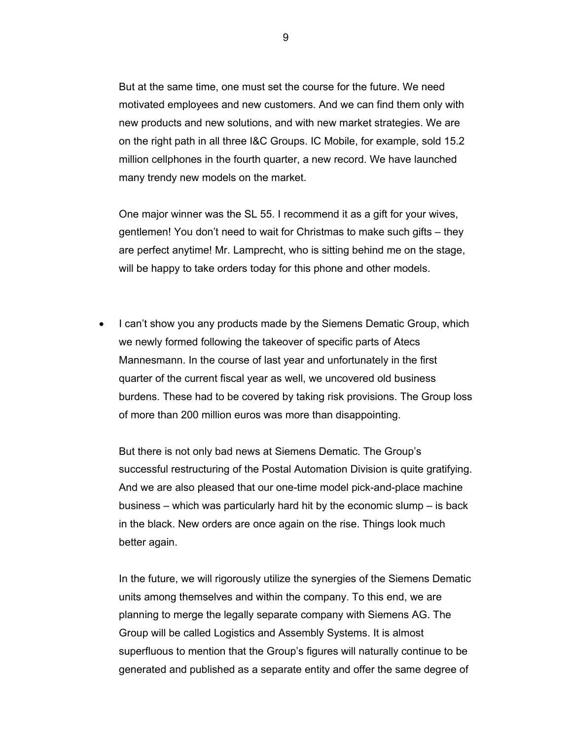But at the same time, one must set the course for the future. We need motivated employees and new customers. And we can find them only with new products and new solutions, and with new market strategies. We are on the right path in all three I&C Groups. IC Mobile, for example, sold 15.2 million cellphones in the fourth quarter, a new record. We have launched many trendy new models on the market.

One major winner was the SL 55. I recommend it as a gift for your wives, gentlemen! You don't need to wait for Christmas to make such gifts – they are perfect anytime! Mr. Lamprecht, who is sitting behind me on the stage, will be happy to take orders today for this phone and other models.

• I can't show you any products made by the Siemens Dematic Group, which we newly formed following the takeover of specific parts of Atecs Mannesmann. In the course of last year and unfortunately in the first quarter of the current fiscal year as well, we uncovered old business burdens. These had to be covered by taking risk provisions. The Group loss of more than 200 million euros was more than disappointing.

But there is not only bad news at Siemens Dematic. The Group's successful restructuring of the Postal Automation Division is quite gratifying. And we are also pleased that our one-time model pick-and-place machine business – which was particularly hard hit by the economic slump – is back in the black. New orders are once again on the rise. Things look much better again.

In the future, we will rigorously utilize the synergies of the Siemens Dematic units among themselves and within the company. To this end, we are planning to merge the legally separate company with Siemens AG. The Group will be called Logistics and Assembly Systems. It is almost superfluous to mention that the Group's figures will naturally continue to be generated and published as a separate entity and offer the same degree of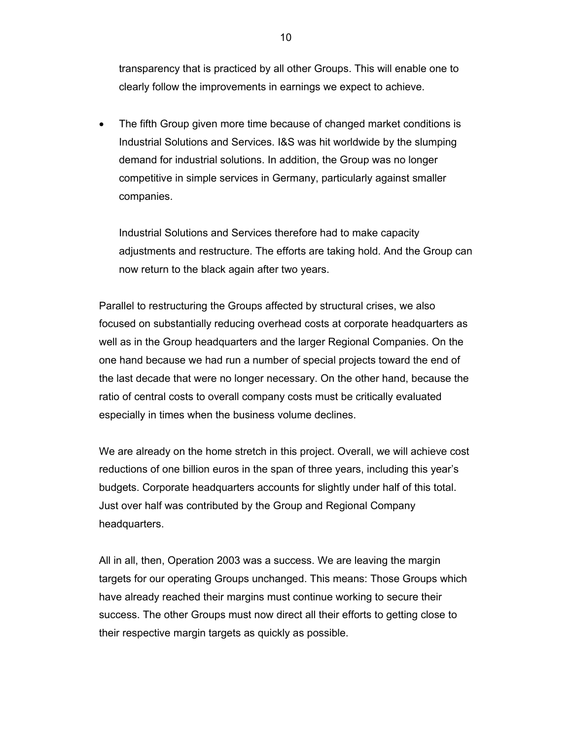transparency that is practiced by all other Groups. This will enable one to clearly follow the improvements in earnings we expect to achieve.

• The fifth Group given more time because of changed market conditions is Industrial Solutions and Services. I&S was hit worldwide by the slumping demand for industrial solutions. In addition, the Group was no longer competitive in simple services in Germany, particularly against smaller companies.

Industrial Solutions and Services therefore had to make capacity adjustments and restructure. The efforts are taking hold. And the Group can now return to the black again after two years.

Parallel to restructuring the Groups affected by structural crises, we also focused on substantially reducing overhead costs at corporate headquarters as well as in the Group headquarters and the larger Regional Companies. On the one hand because we had run a number of special projects toward the end of the last decade that were no longer necessary. On the other hand, because the ratio of central costs to overall company costs must be critically evaluated especially in times when the business volume declines.

We are already on the home stretch in this project. Overall, we will achieve cost reductions of one billion euros in the span of three years, including this year's budgets. Corporate headquarters accounts for slightly under half of this total. Just over half was contributed by the Group and Regional Company headquarters.

All in all, then, Operation 2003 was a success. We are leaving the margin targets for our operating Groups unchanged. This means: Those Groups which have already reached their margins must continue working to secure their success. The other Groups must now direct all their efforts to getting close to their respective margin targets as quickly as possible.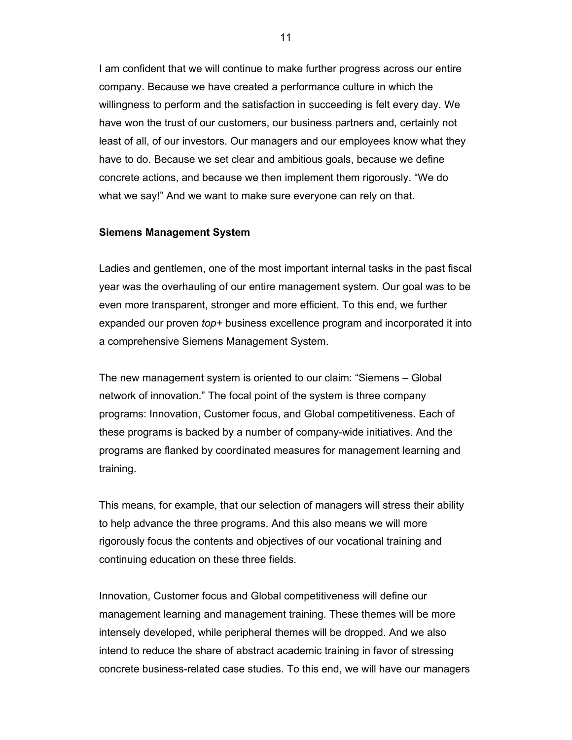I am confident that we will continue to make further progress across our entire company. Because we have created a performance culture in which the willingness to perform and the satisfaction in succeeding is felt every day. We have won the trust of our customers, our business partners and, certainly not least of all, of our investors. Our managers and our employees know what they have to do. Because we set clear and ambitious goals, because we define concrete actions, and because we then implement them rigorously. "We do what we say!" And we want to make sure everyone can rely on that.

### **Siemens Management System**

Ladies and gentlemen, one of the most important internal tasks in the past fiscal year was the overhauling of our entire management system. Our goal was to be even more transparent, stronger and more efficient. To this end, we further expanded our proven *top+* business excellence program and incorporated it into a comprehensive Siemens Management System.

The new management system is oriented to our claim: "Siemens – Global network of innovation." The focal point of the system is three company programs: Innovation, Customer focus, and Global competitiveness. Each of these programs is backed by a number of company-wide initiatives. And the programs are flanked by coordinated measures for management learning and training.

This means, for example, that our selection of managers will stress their ability to help advance the three programs. And this also means we will more rigorously focus the contents and objectives of our vocational training and continuing education on these three fields.

Innovation, Customer focus and Global competitiveness will define our management learning and management training. These themes will be more intensely developed, while peripheral themes will be dropped. And we also intend to reduce the share of abstract academic training in favor of stressing concrete business-related case studies. To this end, we will have our managers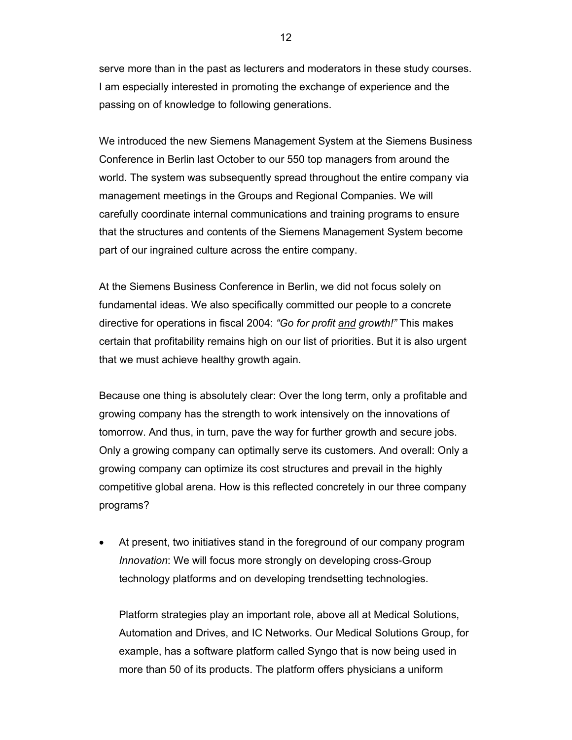serve more than in the past as lecturers and moderators in these study courses. I am especially interested in promoting the exchange of experience and the passing on of knowledge to following generations.

We introduced the new Siemens Management System at the Siemens Business Conference in Berlin last October to our 550 top managers from around the world. The system was subsequently spread throughout the entire company via management meetings in the Groups and Regional Companies. We will carefully coordinate internal communications and training programs to ensure that the structures and contents of the Siemens Management System become part of our ingrained culture across the entire company.

At the Siemens Business Conference in Berlin, we did not focus solely on fundamental ideas. We also specifically committed our people to a concrete directive for operations in fiscal 2004: *"Go for profit and growth!"* This makes certain that profitability remains high on our list of priorities. But it is also urgent that we must achieve healthy growth again.

Because one thing is absolutely clear: Over the long term, only a profitable and growing company has the strength to work intensively on the innovations of tomorrow. And thus, in turn, pave the way for further growth and secure jobs. Only a growing company can optimally serve its customers. And overall: Only a growing company can optimize its cost structures and prevail in the highly competitive global arena. How is this reflected concretely in our three company programs?

• At present, two initiatives stand in the foreground of our company program *Innovation*: We will focus more strongly on developing cross-Group technology platforms and on developing trendsetting technologies.

Platform strategies play an important role, above all at Medical Solutions, Automation and Drives, and IC Networks. Our Medical Solutions Group, for example, has a software platform called Syngo that is now being used in more than 50 of its products. The platform offers physicians a uniform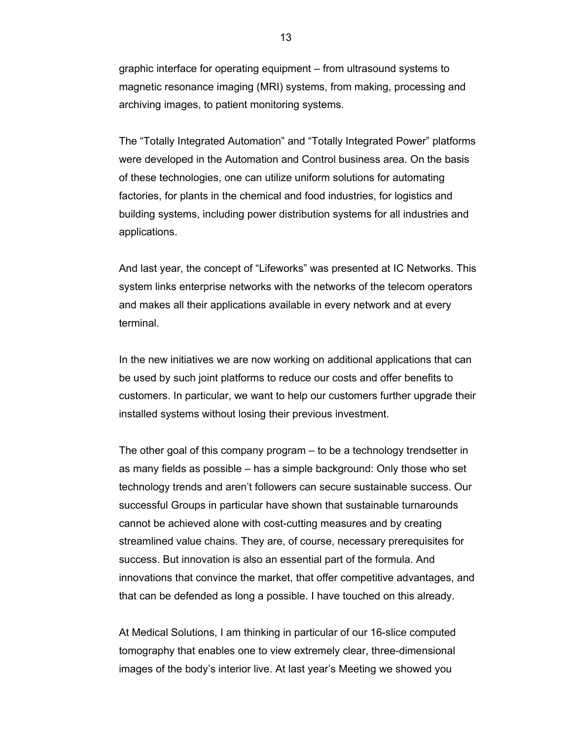graphic interface for operating equipment – from ultrasound systems to magnetic resonance imaging (MRI) systems, from making, processing and archiving images, to patient monitoring systems.

The "Totally Integrated Automation" and "Totally Integrated Power" platforms were developed in the Automation and Control business area. On the basis of these technologies, one can utilize uniform solutions for automating factories, for plants in the chemical and food industries, for logistics and building systems, including power distribution systems for all industries and applications.

And last year, the concept of "Lifeworks" was presented at IC Networks. This system links enterprise networks with the networks of the telecom operators and makes all their applications available in every network and at every terminal.

In the new initiatives we are now working on additional applications that can be used by such joint platforms to reduce our costs and offer benefits to customers. In particular, we want to help our customers further upgrade their installed systems without losing their previous investment.

The other goal of this company program – to be a technology trendsetter in as many fields as possible – has a simple background: Only those who set technology trends and aren't followers can secure sustainable success. Our successful Groups in particular have shown that sustainable turnarounds cannot be achieved alone with cost-cutting measures and by creating streamlined value chains. They are, of course, necessary prerequisites for success. But innovation is also an essential part of the formula. And innovations that convince the market, that offer competitive advantages, and that can be defended as long a possible. I have touched on this already.

At Medical Solutions, I am thinking in particular of our 16-slice computed tomography that enables one to view extremely clear, three-dimensional images of the body's interior live. At last year's Meeting we showed you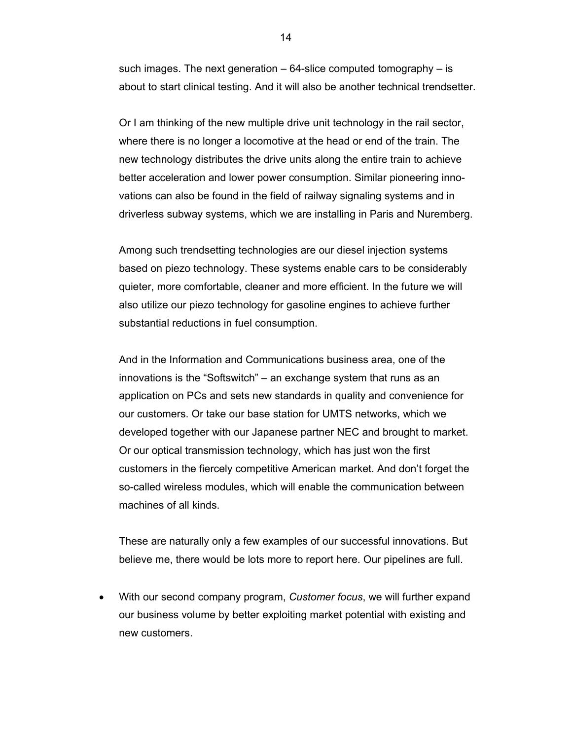such images. The next generation – 64-slice computed tomography – is about to start clinical testing. And it will also be another technical trendsetter.

Or I am thinking of the new multiple drive unit technology in the rail sector, where there is no longer a locomotive at the head or end of the train. The new technology distributes the drive units along the entire train to achieve better acceleration and lower power consumption. Similar pioneering innovations can also be found in the field of railway signaling systems and in driverless subway systems, which we are installing in Paris and Nuremberg.

Among such trendsetting technologies are our diesel injection systems based on piezo technology. These systems enable cars to be considerably quieter, more comfortable, cleaner and more efficient. In the future we will also utilize our piezo technology for gasoline engines to achieve further substantial reductions in fuel consumption.

And in the Information and Communications business area, one of the innovations is the "Softswitch" – an exchange system that runs as an application on PCs and sets new standards in quality and convenience for our customers. Or take our base station for UMTS networks, which we developed together with our Japanese partner NEC and brought to market. Or our optical transmission technology, which has just won the first customers in the fiercely competitive American market. And don't forget the so-called wireless modules, which will enable the communication between machines of all kinds.

These are naturally only a few examples of our successful innovations. But believe me, there would be lots more to report here. Our pipelines are full.

• With our second company program, *Customer focus*, we will further expand our business volume by better exploiting market potential with existing and new customers.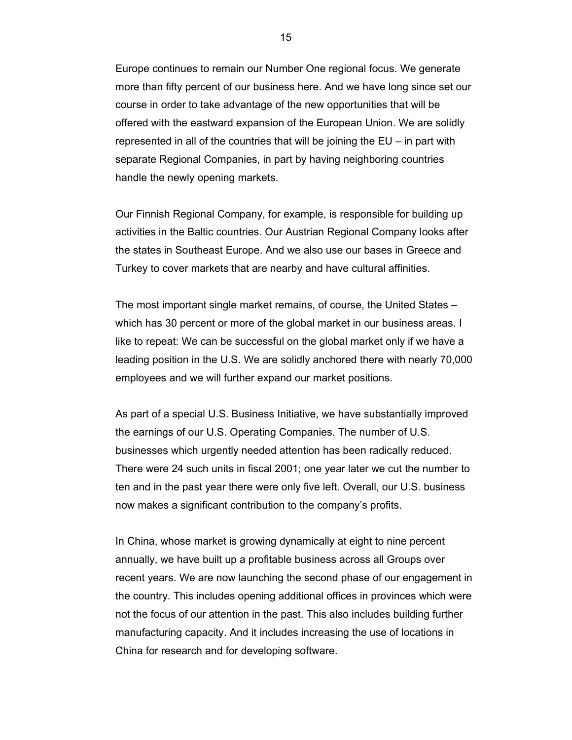Europe continues to remain our Number One regional focus. We generate more than fifty percent of our business here. And we have long since set our course in order to take advantage of the new opportunities that will be offered with the eastward expansion of the European Union. We are solidly represented in all of the countries that will be joining the EU – in part with separate Regional Companies, in part by having neighboring countries handle the newly opening markets.

Our Finnish Regional Company, for example, is responsible for building up activities in the Baltic countries. Our Austrian Regional Company looks after the states in Southeast Europe. And we also use our bases in Greece and Turkey to cover markets that are nearby and have cultural affinities.

The most important single market remains, of course, the United States – which has 30 percent or more of the global market in our business areas. I like to repeat: We can be successful on the global market only if we have a leading position in the U.S. We are solidly anchored there with nearly 70,000 employees and we will further expand our market positions.

As part of a special U.S. Business Initiative, we have substantially improved the earnings of our U.S. Operating Companies. The number of U.S. businesses which urgently needed attention has been radically reduced. There were 24 such units in fiscal 2001; one year later we cut the number to ten and in the past year there were only five left. Overall, our U.S. business now makes a significant contribution to the company's profits.

In China, whose market is growing dynamically at eight to nine percent annually, we have built up a profitable business across all Groups over recent years. We are now launching the second phase of our engagement in the country. This includes opening additional offices in provinces which were not the focus of our attention in the past. This also includes building further manufacturing capacity. And it includes increasing the use of locations in China for research and for developing software.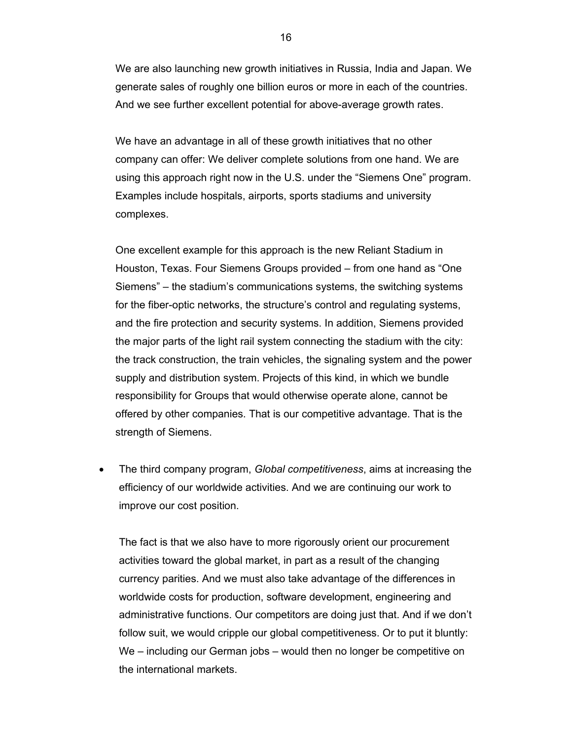We are also launching new growth initiatives in Russia, India and Japan. We generate sales of roughly one billion euros or more in each of the countries. And we see further excellent potential for above-average growth rates.

We have an advantage in all of these growth initiatives that no other company can offer: We deliver complete solutions from one hand. We are using this approach right now in the U.S. under the "Siemens One" program. Examples include hospitals, airports, sports stadiums and university complexes.

One excellent example for this approach is the new Reliant Stadium in Houston, Texas. Four Siemens Groups provided – from one hand as "One Siemens" – the stadium's communications systems, the switching systems for the fiber-optic networks, the structure's control and regulating systems, and the fire protection and security systems. In addition, Siemens provided the major parts of the light rail system connecting the stadium with the city: the track construction, the train vehicles, the signaling system and the power supply and distribution system. Projects of this kind, in which we bundle responsibility for Groups that would otherwise operate alone, cannot be offered by other companies. That is our competitive advantage. That is the strength of Siemens.

• The third company program, *Global competitiveness*, aims at increasing the efficiency of our worldwide activities. And we are continuing our work to improve our cost position.

The fact is that we also have to more rigorously orient our procurement activities toward the global market, in part as a result of the changing currency parities. And we must also take advantage of the differences in worldwide costs for production, software development, engineering and administrative functions. Our competitors are doing just that. And if we don't follow suit, we would cripple our global competitiveness. Or to put it bluntly: We – including our German jobs – would then no longer be competitive on the international markets.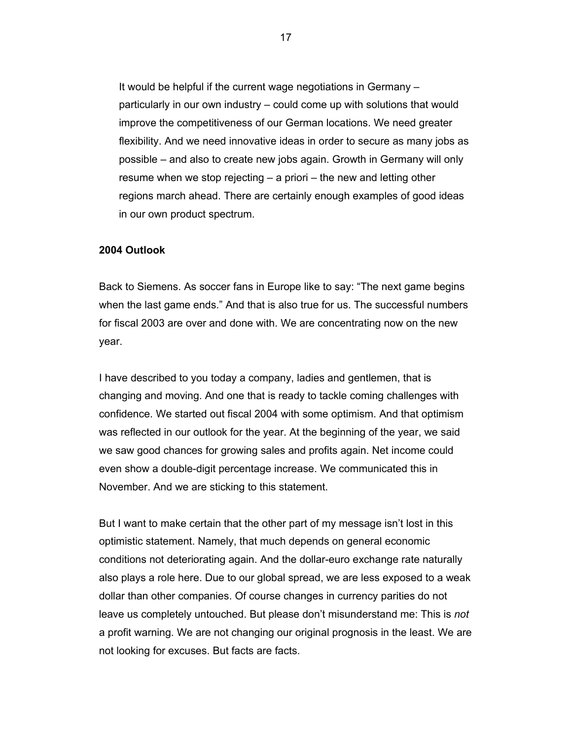It would be helpful if the current wage negotiations in Germany – particularly in our own industry – could come up with solutions that would improve the competitiveness of our German locations. We need greater flexibility. And we need innovative ideas in order to secure as many jobs as possible – and also to create new jobs again. Growth in Germany will only resume when we stop rejecting – a priori – the new and letting other regions march ahead. There are certainly enough examples of good ideas in our own product spectrum.

#### **2004 Outlook**

Back to Siemens. As soccer fans in Europe like to say: "The next game begins when the last game ends." And that is also true for us. The successful numbers for fiscal 2003 are over and done with. We are concentrating now on the new year.

I have described to you today a company, ladies and gentlemen, that is changing and moving. And one that is ready to tackle coming challenges with confidence. We started out fiscal 2004 with some optimism. And that optimism was reflected in our outlook for the year. At the beginning of the year, we said we saw good chances for growing sales and profits again. Net income could even show a double-digit percentage increase. We communicated this in November. And we are sticking to this statement.

But I want to make certain that the other part of my message isn't lost in this optimistic statement. Namely, that much depends on general economic conditions not deteriorating again. And the dollar-euro exchange rate naturally also plays a role here. Due to our global spread, we are less exposed to a weak dollar than other companies. Of course changes in currency parities do not leave us completely untouched. But please don't misunderstand me: This is *not* a profit warning. We are not changing our original prognosis in the least. We are not looking for excuses. But facts are facts.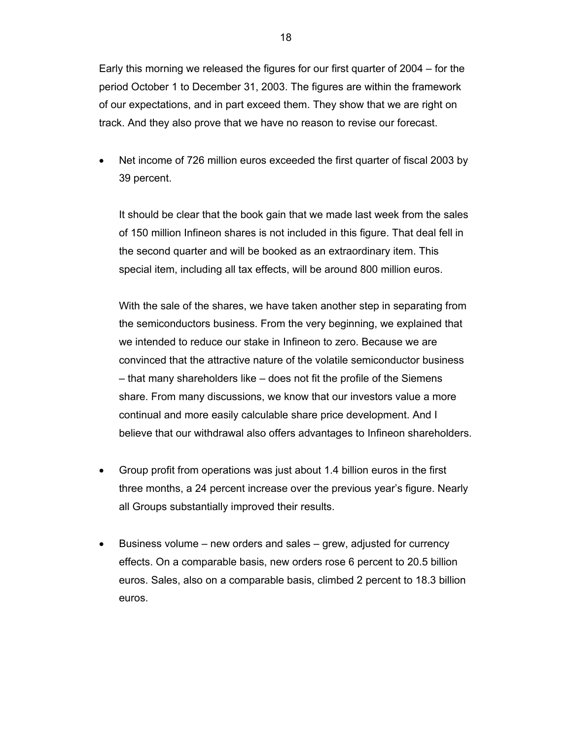Early this morning we released the figures for our first quarter of 2004 – for the period October 1 to December 31, 2003. The figures are within the framework of our expectations, and in part exceed them. They show that we are right on track. And they also prove that we have no reason to revise our forecast.

• Net income of 726 million euros exceeded the first quarter of fiscal 2003 by 39 percent.

It should be clear that the book gain that we made last week from the sales of 150 million Infineon shares is not included in this figure. That deal fell in the second quarter and will be booked as an extraordinary item. This special item, including all tax effects, will be around 800 million euros.

With the sale of the shares, we have taken another step in separating from the semiconductors business. From the very beginning, we explained that we intended to reduce our stake in Infineon to zero. Because we are convinced that the attractive nature of the volatile semiconductor business – that many shareholders like – does not fit the profile of the Siemens share. From many discussions, we know that our investors value a more continual and more easily calculable share price development. And I believe that our withdrawal also offers advantages to Infineon shareholders.

- Group profit from operations was just about 1.4 billion euros in the first three months, a 24 percent increase over the previous year's figure. Nearly all Groups substantially improved their results.
- Business volume new orders and sales grew, adjusted for currency effects. On a comparable basis, new orders rose 6 percent to 20.5 billion euros. Sales, also on a comparable basis, climbed 2 percent to 18.3 billion euros.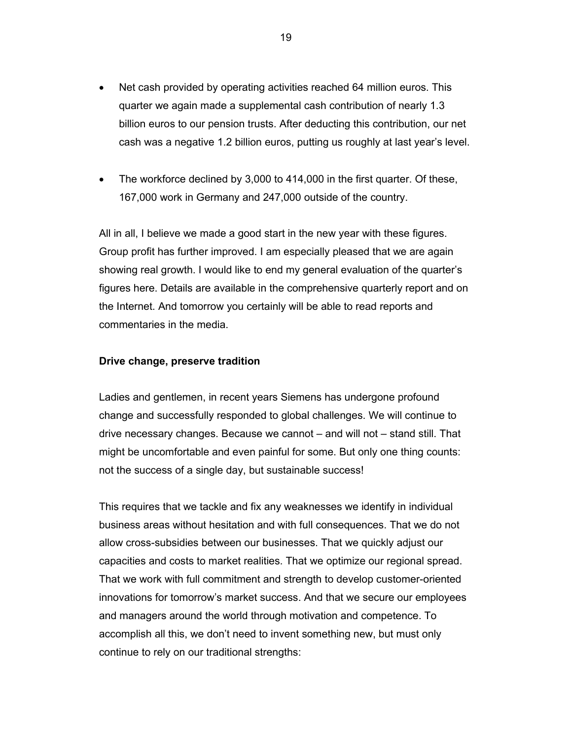- Net cash provided by operating activities reached 64 million euros. This quarter we again made a supplemental cash contribution of nearly 1.3 billion euros to our pension trusts. After deducting this contribution, our net cash was a negative 1.2 billion euros, putting us roughly at last year's level.
- The workforce declined by 3,000 to 414,000 in the first quarter. Of these, 167,000 work in Germany and 247,000 outside of the country.

All in all, I believe we made a good start in the new year with these figures. Group profit has further improved. I am especially pleased that we are again showing real growth. I would like to end my general evaluation of the quarter's figures here. Details are available in the comprehensive quarterly report and on the Internet. And tomorrow you certainly will be able to read reports and commentaries in the media.

### **Drive change, preserve tradition**

Ladies and gentlemen, in recent years Siemens has undergone profound change and successfully responded to global challenges. We will continue to drive necessary changes. Because we cannot – and will not – stand still. That might be uncomfortable and even painful for some. But only one thing counts: not the success of a single day, but sustainable success!

This requires that we tackle and fix any weaknesses we identify in individual business areas without hesitation and with full consequences. That we do not allow cross-subsidies between our businesses. That we quickly adjust our capacities and costs to market realities. That we optimize our regional spread. That we work with full commitment and strength to develop customer-oriented innovations for tomorrow's market success. And that we secure our employees and managers around the world through motivation and competence. To accomplish all this, we don't need to invent something new, but must only continue to rely on our traditional strengths: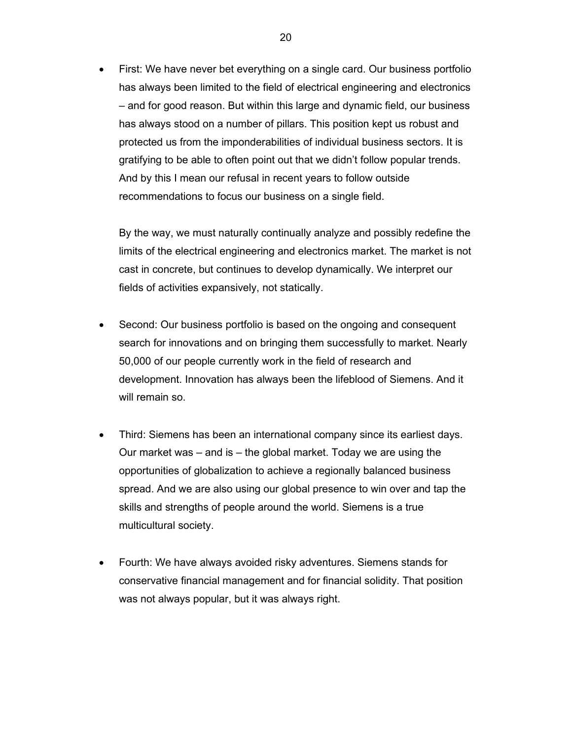• First: We have never bet everything on a single card. Our business portfolio has always been limited to the field of electrical engineering and electronics – and for good reason. But within this large and dynamic field, our business has always stood on a number of pillars. This position kept us robust and protected us from the imponderabilities of individual business sectors. It is gratifying to be able to often point out that we didn't follow popular trends. And by this I mean our refusal in recent years to follow outside recommendations to focus our business on a single field.

By the way, we must naturally continually analyze and possibly redefine the limits of the electrical engineering and electronics market. The market is not cast in concrete, but continues to develop dynamically. We interpret our fields of activities expansively, not statically.

- Second: Our business portfolio is based on the ongoing and consequent search for innovations and on bringing them successfully to market. Nearly 50,000 of our people currently work in the field of research and development. Innovation has always been the lifeblood of Siemens. And it will remain so.
- Third: Siemens has been an international company since its earliest days. Our market was – and is – the global market. Today we are using the opportunities of globalization to achieve a regionally balanced business spread. And we are also using our global presence to win over and tap the skills and strengths of people around the world. Siemens is a true multicultural society.
- Fourth: We have always avoided risky adventures. Siemens stands for conservative financial management and for financial solidity. That position was not always popular, but it was always right.